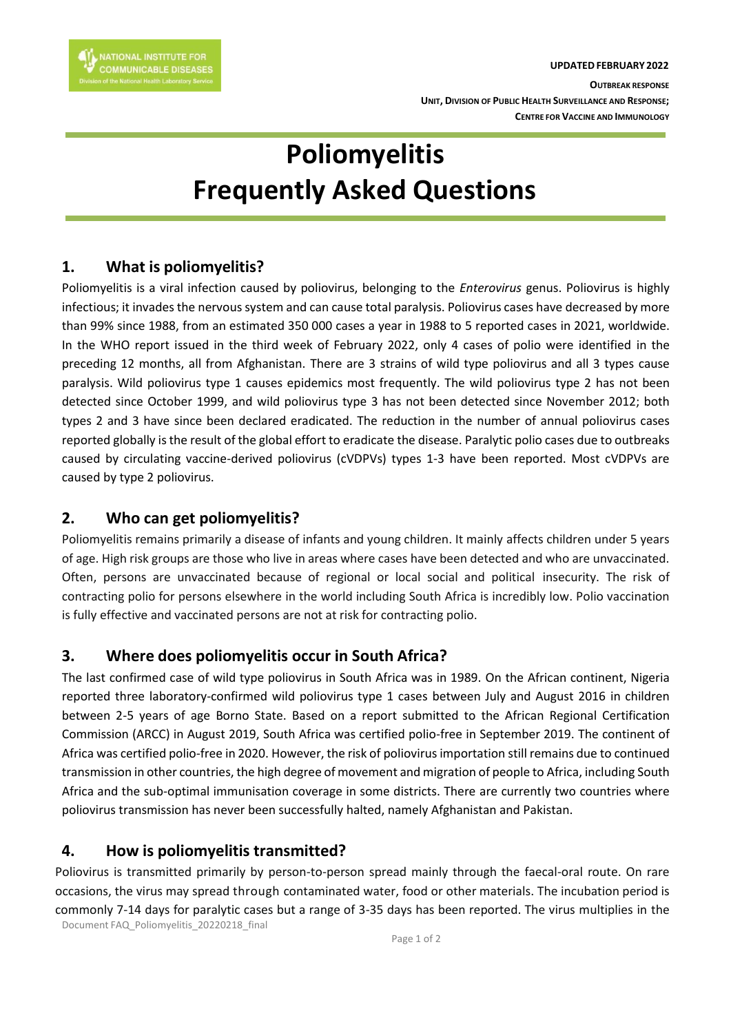# **Poliomyelitis Frequently Asked Questions**

# **1. What is poliomyelitis?**

Poliomyelitis is a viral infection caused by poliovirus, belonging to the *Enterovirus* genus. Poliovirus is highly infectious; it invades the nervous system and can cause total paralysis. Poliovirus cases have decreased by more than 99% since 1988, from an estimated 350 000 cases a year in 1988 to 5 reported cases in 2021, worldwide. In the WHO report issued in the third week of February 2022, only 4 cases of polio were identified in the preceding 12 months, all from Afghanistan. There are 3 strains of wild type poliovirus and all 3 types cause paralysis. Wild poliovirus type 1 causes epidemics most frequently. The wild poliovirus type 2 has not been detected since October 1999, and wild poliovirus type 3 has not been detected since November 2012; both types 2 and 3 have since been declared eradicated. The reduction in the number of annual poliovirus cases reported globally is the result of the global effort to eradicate the disease. Paralytic polio cases due to outbreaks caused by circulating vaccine-derived poliovirus (cVDPVs) types 1-3 have been reported. Most cVDPVs are caused by type 2 poliovirus.

## **2. Who can get poliomyelitis?**

Poliomyelitis remains primarily a disease of infants and young children. It mainly affects children under 5 years of age. High risk groups are those who live in areas where cases have been detected and who are unvaccinated. Often, persons are unvaccinated because of regional or local social and political insecurity. The risk of contracting polio for persons elsewhere in the world including South Africa is incredibly low. Polio vaccination is fully effective and vaccinated persons are not at risk for contracting polio.

## **3. Where does poliomyelitis occur in South Africa?**

The last confirmed case of wild type poliovirus in South Africa was in 1989. On the African continent, Nigeria reported three laboratory-confirmed wild poliovirus type 1 cases between July and August 2016 in children between 2-5 years of age Borno State. Based on a report submitted to the African Regional Certification Commission (ARCC) in August 2019, South Africa was certified polio-free in September 2019. The continent of Africa was certified polio-free in 2020. However, the risk of poliovirus importation still remains due to continued transmission in other countries, the high degree of movement and migration of people to Africa, including South Africa and the sub-optimal immunisation coverage in some districts. There are currently two countries where poliovirus transmission has never been successfully halted, namely Afghanistan and Pakistan.

## **4. How is poliomyelitis transmitted?**

Poliovirus is transmitted primarily by person-to-person spread mainly through the faecal-oral route. On rare occasions, the virus may spread through contaminated water, food or other materials. The incubation period is commonly 7-14 days for paralytic cases but a range of 3-35 days has been reported. The virus multiplies in the

Document FAQ\_Poliomyelitis\_20220218\_final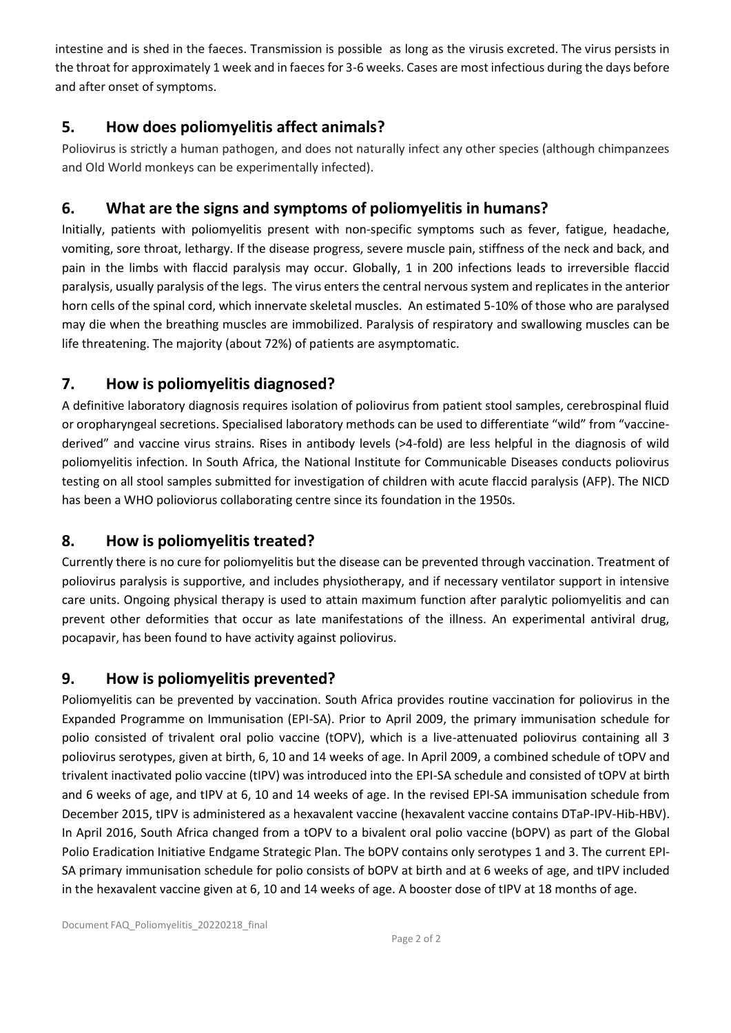intestine and is shed in the faeces. Transmission is possible as long as the virusis excreted. The virus persists in the throat for approximately 1 week and in faeces for 3-6 weeks. Cases are most infectious during the days before and after onset of symptoms.

# **5. How does poliomyelitis affect animals?**

Poliovirus is strictly a human pathogen, and does not naturally infect any other species (although chimpanzees and Old World monkeys can be experimentally infected).

# **6. What are the signs and symptoms of poliomyelitis in humans?**

Initially, patients with poliomyelitis present with non-specific symptoms such as fever, fatigue, headache, vomiting, sore throat, lethargy. If the disease progress, severe muscle pain, stiffness of the neck and back, and pain in the limbs with flaccid paralysis may occur. Globally, 1 in 200 infections leads to irreversible flaccid paralysis, usually paralysis of the legs. The virus enters the central nervous system and replicates in the anterior horn cells of the spinal cord, which innervate skeletal muscles. An estimated 5-10% of those who are paralysed may die when the breathing muscles are immobilized. Paralysis of respiratory and swallowing muscles can be life threatening. The majority (about 72%) of patients are asymptomatic.

## **7. How is poliomyelitis diagnosed?**

A definitive laboratory diagnosis requires isolation of poliovirus from patient stool samples, cerebrospinal fluid or oropharyngeal secretions. Specialised laboratory methods can be used to differentiate "wild" from "vaccinederived" and vaccine virus strains. Rises in antibody levels (>4-fold) are less helpful in the diagnosis of wild poliomyelitis infection. In South Africa, the National Institute for Communicable Diseases conducts poliovirus testing on all stool samples submitted for investigation of children with acute flaccid paralysis (AFP). The NICD has been a WHO polioviorus collaborating centre since its foundation in the 1950s.

## **8. How is poliomyelitis treated?**

Currently there is no cure for poliomyelitis but the disease can be prevented through vaccination. Treatment of poliovirus paralysis is supportive, and includes physiotherapy, and if necessary ventilator support in intensive care units. Ongoing physical therapy is used to attain maximum function after paralytic poliomyelitis and can prevent other deformities that occur as late manifestations of the illness. An experimental antiviral drug, pocapavir, has been found to have activity against poliovirus.

## **9. How is poliomyelitis prevented?**

Poliomyelitis can be prevented by vaccination. South Africa provides routine vaccination for poliovirus in the Expanded Programme on Immunisation (EPI-SA). Prior to April 2009, the primary immunisation schedule for polio consisted of trivalent oral polio vaccine (tOPV), which is a live-attenuated poliovirus containing all 3 poliovirus serotypes, given at birth, 6, 10 and 14 weeks of age. In April 2009, a combined schedule of tOPV and trivalent inactivated polio vaccine (tIPV) was introduced into the EPI-SA schedule and consisted of tOPV at birth and 6 weeks of age, and tIPV at 6, 10 and 14 weeks of age. In the revised EPI-SA immunisation schedule from December 2015, tIPV is administered as a hexavalent vaccine (hexavalent vaccine contains DTaP-IPV-Hib-HBV). In April 2016, South Africa changed from a tOPV to a bivalent oral polio vaccine (bOPV) as part of the Global Polio Eradication Initiative Endgame Strategic Plan. The bOPV contains only serotypes 1 and 3. The current EPI-SA primary immunisation schedule for polio consists of bOPV at birth and at 6 weeks of age, and tIPV included in the hexavalent vaccine given at 6, 10 and 14 weeks of age. A booster dose of tIPV at 18 months of age.